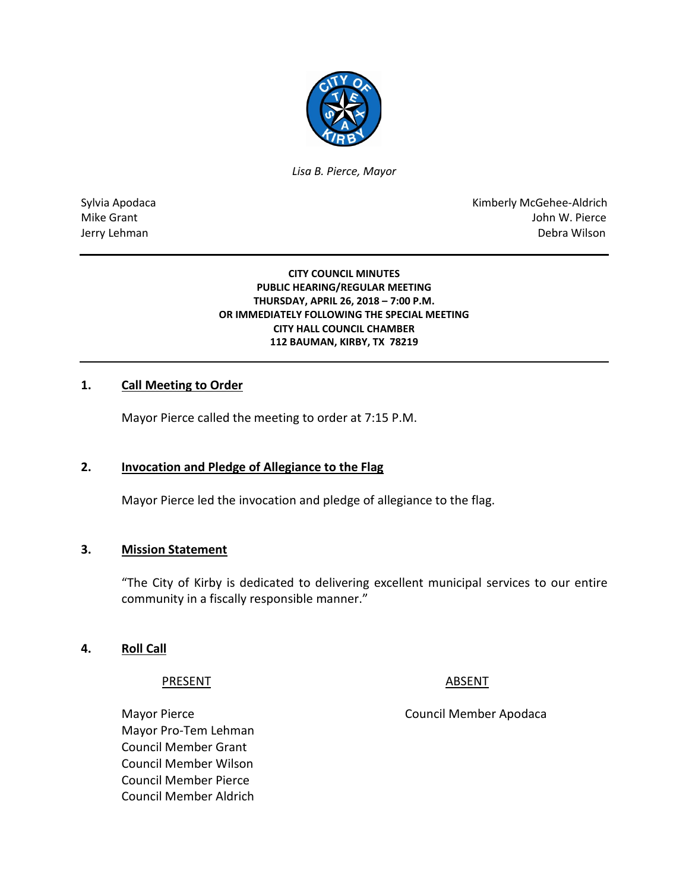

*Lisa B. Pierce, Mayor* 

Sylvia Apodaca National Apodaca Kimberly McGehee-Aldrich Mike Grant John W. Pierce Jerry Lehman Debra Wilson

> **CITY COUNCIL MINUTES PUBLIC HEARING/REGULAR MEETING THURSDAY, APRIL 26, 2018 – 7:00 P.M. OR IMMEDIATELY FOLLOWING THE SPECIAL MEETING CITY HALL COUNCIL CHAMBER 112 BAUMAN, KIRBY, TX 78219**

## **1. Call Meeting to Order**

Mayor Pierce called the meeting to order at 7:15 P.M.

#### **2. Invocation and Pledge of Allegiance to the Flag**

Mayor Pierce led the invocation and pledge of allegiance to the flag.

#### **3. Mission Statement**

"The City of Kirby is dedicated to delivering excellent municipal services to our entire community in a fiscally responsible manner."

#### **4. Roll Call**

#### PRESENT ABSENT

Mayor Pro-Tem Lehman Council Member Grant Council Member Wilson Council Member Pierce Council Member Aldrich

Mayor Pierce **Council Member Apodaca**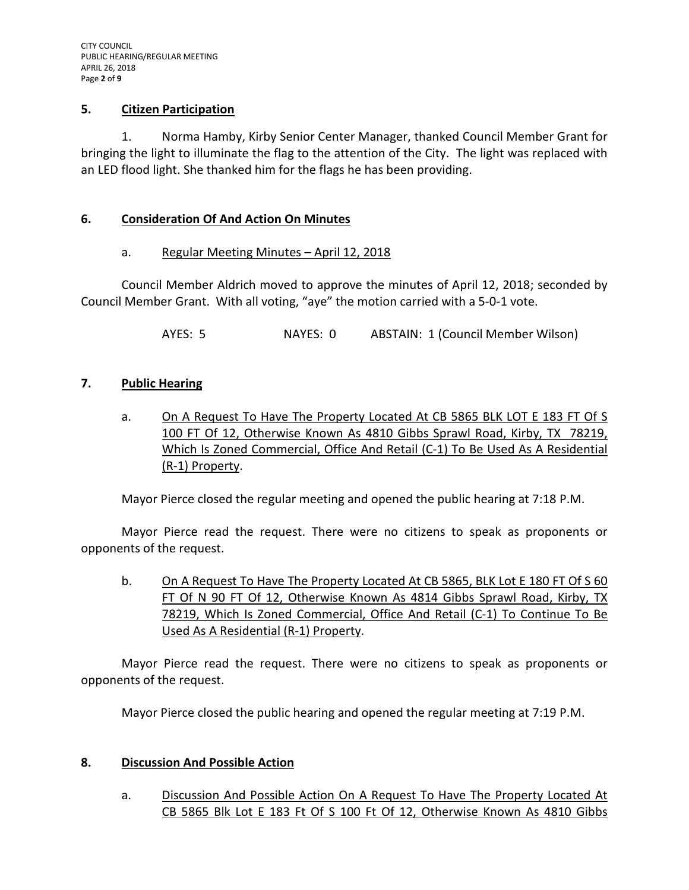## **5. Citizen Participation**

1. Norma Hamby, Kirby Senior Center Manager, thanked Council Member Grant for bringing the light to illuminate the flag to the attention of the City. The light was replaced with an LED flood light. She thanked him for the flags he has been providing.

## **6. Consideration Of And Action On Minutes**

## a. Regular Meeting Minutes - April 12, 2018

Council Member Aldrich moved to approve the minutes of April 12, 2018; seconded by Council Member Grant. With all voting, "aye" the motion carried with a 5-0-1 vote.

AYES: 5 NAYES: 0 ABSTAIN: 1 (Council Member Wilson)

## **7. Public Hearing**

a. On A Request To Have The Property Located At CB 5865 BLK LOT E 183 FT Of S 100 FT Of 12, Otherwise Known As 4810 Gibbs Sprawl Road, Kirby, TX 78219, Which Is Zoned Commercial, Office And Retail (C-1) To Be Used As A Residential (R-1) Property.

Mayor Pierce closed the regular meeting and opened the public hearing at 7:18 P.M.

Mayor Pierce read the request. There were no citizens to speak as proponents or opponents of the request.

b. On A Request To Have The Property Located At CB 5865, BLK Lot E 180 FT Of S 60 FT Of N 90 FT Of 12, Otherwise Known As 4814 Gibbs Sprawl Road, Kirby, TX 78219, Which Is Zoned Commercial, Office And Retail (C-1) To Continue To Be Used As A Residential (R-1) Property.

Mayor Pierce read the request. There were no citizens to speak as proponents or opponents of the request.

Mayor Pierce closed the public hearing and opened the regular meeting at 7:19 P.M.

## **8. Discussion And Possible Action**

a. Discussion And Possible Action On A Request To Have The Property Located At CB 5865 Blk Lot E 183 Ft Of S 100 Ft Of 12, Otherwise Known As 4810 Gibbs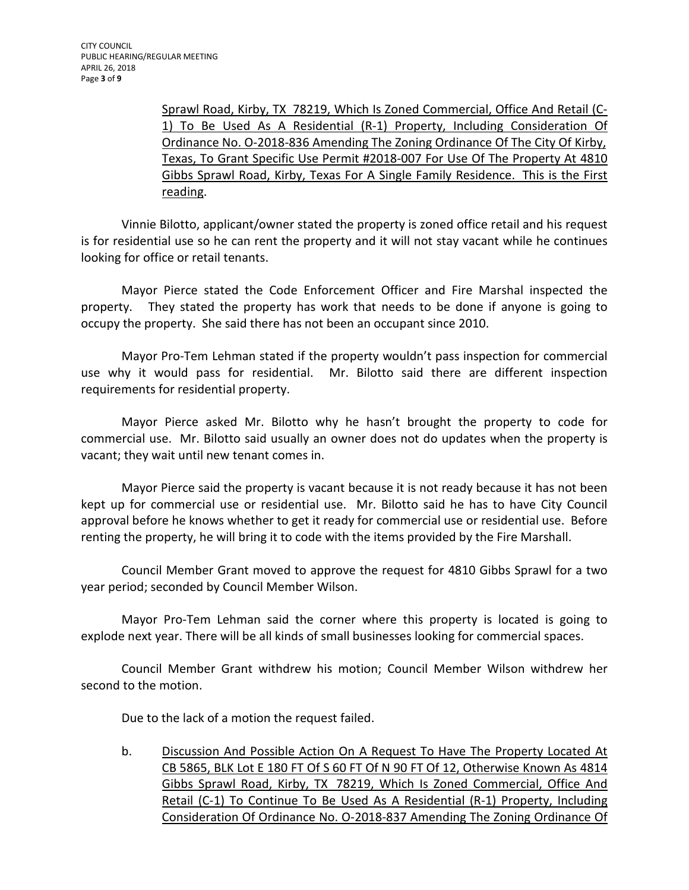Sprawl Road, Kirby, TX 78219, Which Is Zoned Commercial, Office And Retail (C-1) To Be Used As A Residential (R-1) Property, Including Consideration Of Ordinance No. O-2018-836 Amending The Zoning Ordinance Of The City Of Kirby, Texas, To Grant Specific Use Permit #2018-007 For Use Of The Property At 4810 Gibbs Sprawl Road, Kirby, Texas For A Single Family Residence. This is the First reading.

Vinnie Bilotto, applicant/owner stated the property is zoned office retail and his request is for residential use so he can rent the property and it will not stay vacant while he continues looking for office or retail tenants.

Mayor Pierce stated the Code Enforcement Officer and Fire Marshal inspected the property. They stated the property has work that needs to be done if anyone is going to occupy the property. She said there has not been an occupant since 2010.

Mayor Pro-Tem Lehman stated if the property wouldn't pass inspection for commercial use why it would pass for residential. Mr. Bilotto said there are different inspection requirements for residential property.

Mayor Pierce asked Mr. Bilotto why he hasn't brought the property to code for commercial use. Mr. Bilotto said usually an owner does not do updates when the property is vacant; they wait until new tenant comes in.

Mayor Pierce said the property is vacant because it is not ready because it has not been kept up for commercial use or residential use. Mr. Bilotto said he has to have City Council approval before he knows whether to get it ready for commercial use or residential use. Before renting the property, he will bring it to code with the items provided by the Fire Marshall.

Council Member Grant moved to approve the request for 4810 Gibbs Sprawl for a two year period; seconded by Council Member Wilson.

Mayor Pro-Tem Lehman said the corner where this property is located is going to explode next year. There will be all kinds of small businesses looking for commercial spaces.

Council Member Grant withdrew his motion; Council Member Wilson withdrew her second to the motion.

Due to the lack of a motion the request failed.

b. Discussion And Possible Action On A Request To Have The Property Located At CB 5865, BLK Lot E 180 FT Of S 60 FT Of N 90 FT Of 12, Otherwise Known As 4814 Gibbs Sprawl Road, Kirby, TX 78219, Which Is Zoned Commercial, Office And Retail (C-1) To Continue To Be Used As A Residential (R-1) Property, Including Consideration Of Ordinance No. O-2018-837 Amending The Zoning Ordinance Of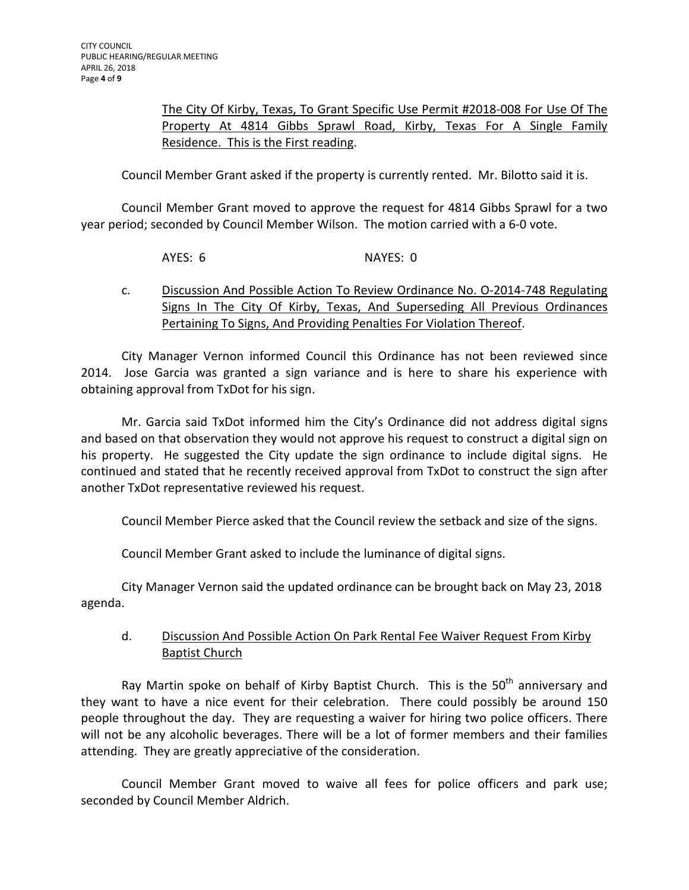## The City Of Kirby, Texas, To Grant Specific Use Permit #2018-008 For Use Of The Property At 4814 Gibbs Sprawl Road, Kirby, Texas For A Single Family Residence. This is the First reading.

Council Member Grant asked if the property is currently rented. Mr. Bilotto said it is.

Council Member Grant moved to approve the request for 4814 Gibbs Sprawl for a two year period; seconded by Council Member Wilson. The motion carried with a 6-0 vote.

AYES: 6 NAYES: 0

# c. Discussion And Possible Action To Review Ordinance No. O-2014-748 Regulating Signs In The City Of Kirby, Texas, And Superseding All Previous Ordinances Pertaining To Signs, And Providing Penalties For Violation Thereof.

City Manager Vernon informed Council this Ordinance has not been reviewed since 2014. Jose Garcia was granted a sign variance and is here to share his experience with obtaining approval from TxDot for his sign.

Mr. Garcia said TxDot informed him the City's Ordinance did not address digital signs and based on that observation they would not approve his request to construct a digital sign on his property. He suggested the City update the sign ordinance to include digital signs. He continued and stated that he recently received approval from TxDot to construct the sign after another TxDot representative reviewed his request.

Council Member Pierce asked that the Council review the setback and size of the signs.

Council Member Grant asked to include the luminance of digital signs.

City Manager Vernon said the updated ordinance can be brought back on May 23, 2018 agenda.

# d. Discussion And Possible Action On Park Rental Fee Waiver Request From Kirby Baptist Church

Ray Martin spoke on behalf of Kirby Baptist Church. This is the  $50<sup>th</sup>$  anniversary and they want to have a nice event for their celebration. There could possibly be around 150 people throughout the day. They are requesting a waiver for hiring two police officers. There will not be any alcoholic beverages. There will be a lot of former members and their families attending. They are greatly appreciative of the consideration.

Council Member Grant moved to waive all fees for police officers and park use; seconded by Council Member Aldrich.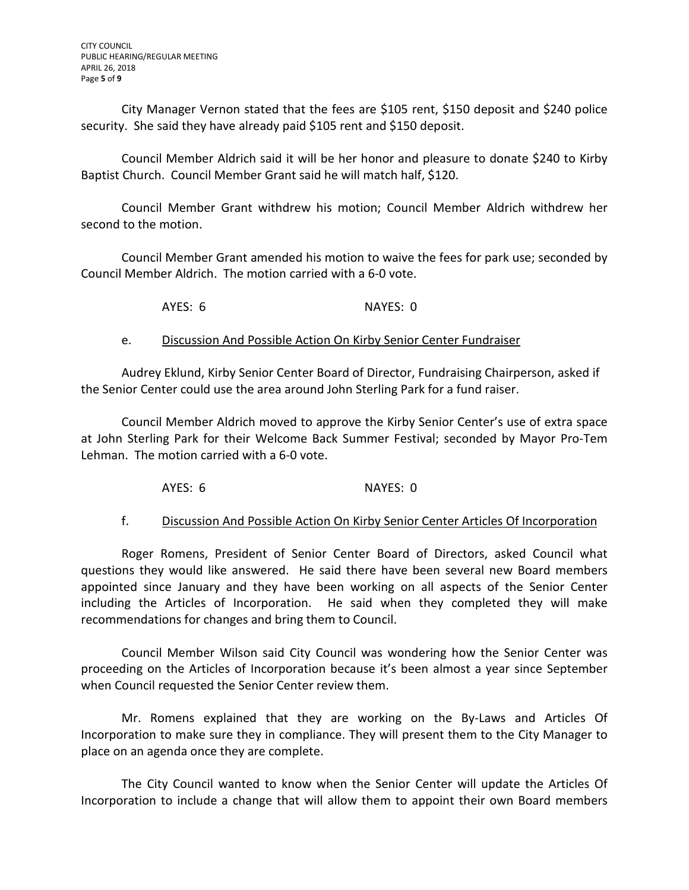City Manager Vernon stated that the fees are \$105 rent, \$150 deposit and \$240 police security. She said they have already paid \$105 rent and \$150 deposit.

Council Member Aldrich said it will be her honor and pleasure to donate \$240 to Kirby Baptist Church. Council Member Grant said he will match half, \$120.

Council Member Grant withdrew his motion; Council Member Aldrich withdrew her second to the motion.

Council Member Grant amended his motion to waive the fees for park use; seconded by Council Member Aldrich. The motion carried with a 6-0 vote.

AYES: 6 NAYES: 0

## e. Discussion And Possible Action On Kirby Senior Center Fundraiser

Audrey Eklund, Kirby Senior Center Board of Director, Fundraising Chairperson, asked if the Senior Center could use the area around John Sterling Park for a fund raiser.

Council Member Aldrich moved to approve the Kirby Senior Center's use of extra space at John Sterling Park for their Welcome Back Summer Festival; seconded by Mayor Pro-Tem Lehman. The motion carried with a 6-0 vote.

AYES: 6 NAYES: 0

## f. Discussion And Possible Action On Kirby Senior Center Articles Of Incorporation

Roger Romens, President of Senior Center Board of Directors, asked Council what questions they would like answered. He said there have been several new Board members appointed since January and they have been working on all aspects of the Senior Center including the Articles of Incorporation. He said when they completed they will make recommendations for changes and bring them to Council.

Council Member Wilson said City Council was wondering how the Senior Center was proceeding on the Articles of Incorporation because it's been almost a year since September when Council requested the Senior Center review them.

Mr. Romens explained that they are working on the By-Laws and Articles Of Incorporation to make sure they in compliance. They will present them to the City Manager to place on an agenda once they are complete.

The City Council wanted to know when the Senior Center will update the Articles Of Incorporation to include a change that will allow them to appoint their own Board members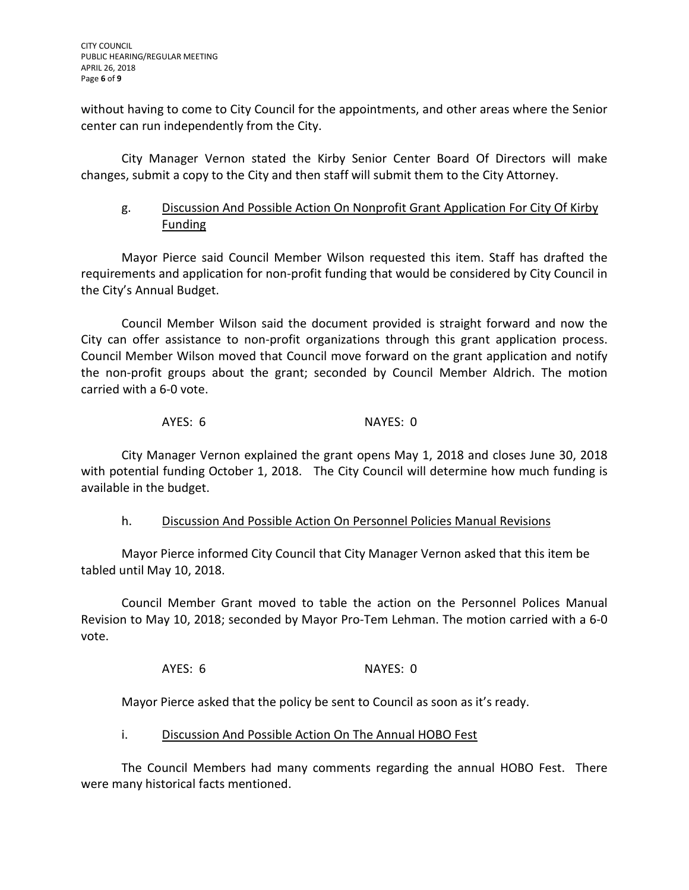without having to come to City Council for the appointments, and other areas where the Senior center can run independently from the City.

City Manager Vernon stated the Kirby Senior Center Board Of Directors will make changes, submit a copy to the City and then staff will submit them to the City Attorney.

# g. Discussion And Possible Action On Nonprofit Grant Application For City Of Kirby Funding

Mayor Pierce said Council Member Wilson requested this item. Staff has drafted the requirements and application for non-profit funding that would be considered by City Council in the City's Annual Budget.

Council Member Wilson said the document provided is straight forward and now the City can offer assistance to non-profit organizations through this grant application process. Council Member Wilson moved that Council move forward on the grant application and notify the non-profit groups about the grant; seconded by Council Member Aldrich. The motion carried with a 6-0 vote.

AYES: 6 NAYES: 0

City Manager Vernon explained the grant opens May 1, 2018 and closes June 30, 2018 with potential funding October 1, 2018. The City Council will determine how much funding is available in the budget.

# h. Discussion And Possible Action On Personnel Policies Manual Revisions

Mayor Pierce informed City Council that City Manager Vernon asked that this item be tabled until May 10, 2018.

Council Member Grant moved to table the action on the Personnel Polices Manual Revision to May 10, 2018; seconded by Mayor Pro-Tem Lehman. The motion carried with a 6-0 vote.

AYES: 6 NAYES: 0

Mayor Pierce asked that the policy be sent to Council as soon as it's ready.

# i. Discussion And Possible Action On The Annual HOBO Fest

The Council Members had many comments regarding the annual HOBO Fest. There were many historical facts mentioned.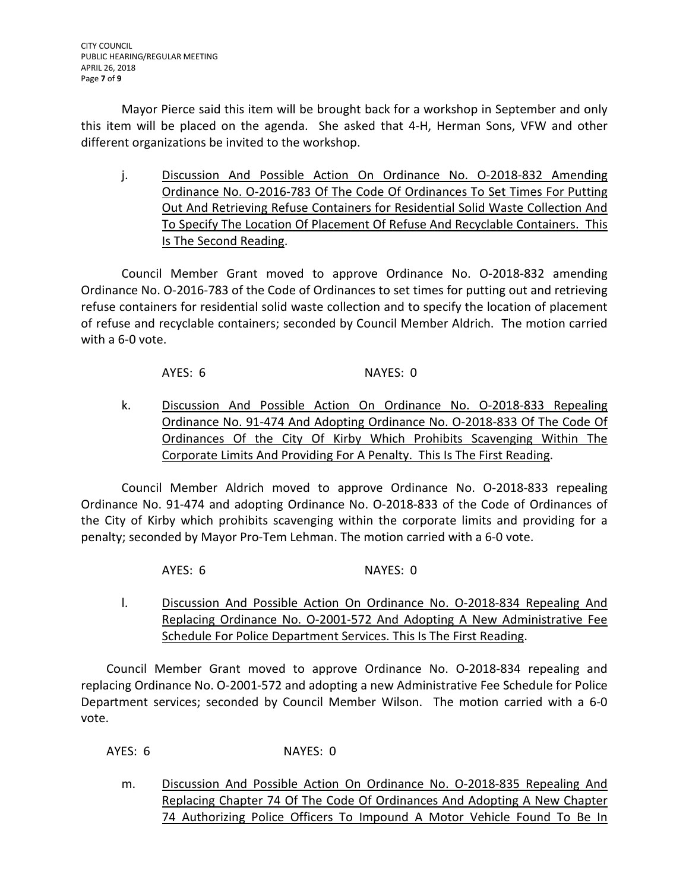Mayor Pierce said this item will be brought back for a workshop in September and only this item will be placed on the agenda. She asked that 4-H, Herman Sons, VFW and other different organizations be invited to the workshop.

j. Discussion And Possible Action On Ordinance No. 0-2018-832 Amending Ordinance No. O-2016-783 Of The Code Of Ordinances To Set Times For Putting Out And Retrieving Refuse Containers for Residential Solid Waste Collection And To Specify The Location Of Placement Of Refuse And Recyclable Containers. This Is The Second Reading.

Council Member Grant moved to approve Ordinance No. O-2018-832 amending Ordinance No. O-2016-783 of the Code of Ordinances to set times for putting out and retrieving refuse containers for residential solid waste collection and to specify the location of placement of refuse and recyclable containers; seconded by Council Member Aldrich. The motion carried with a 6-0 vote.

AYES: 6 NAYES: 0

k. Discussion And Possible Action On Ordinance No. O-2018-833 Repealing Ordinance No. 91-474 And Adopting Ordinance No. O-2018-833 Of The Code Of Ordinances Of the City Of Kirby Which Prohibits Scavenging Within The Corporate Limits And Providing For A Penalty. This Is The First Reading.

Council Member Aldrich moved to approve Ordinance No. O-2018-833 repealing Ordinance No. 91-474 and adopting Ordinance No. O-2018-833 of the Code of Ordinances of the City of Kirby which prohibits scavenging within the corporate limits and providing for a penalty; seconded by Mayor Pro-Tem Lehman. The motion carried with a 6-0 vote.

AYES: 6 NAYES: 0

l. Discussion And Possible Action On Ordinance No. O-2018-834 Repealing And Replacing Ordinance No. O-2001-572 And Adopting A New Administrative Fee Schedule For Police Department Services. This Is The First Reading.

Council Member Grant moved to approve Ordinance No. O-2018-834 repealing and replacing Ordinance No. O-2001-572 and adopting a new Administrative Fee Schedule for Police Department services; seconded by Council Member Wilson. The motion carried with a 6-0 vote.

AYES: 6 NAYES: 0

m. Discussion And Possible Action On Ordinance No. O-2018-835 Repealing And Replacing Chapter 74 Of The Code Of Ordinances And Adopting A New Chapter 74 Authorizing Police Officers To Impound A Motor Vehicle Found To Be In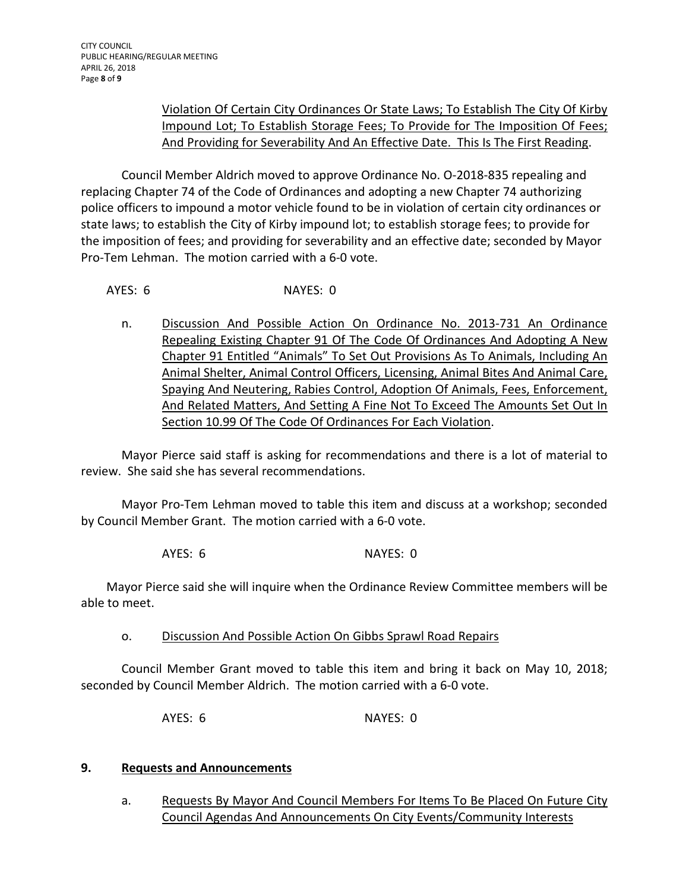# Violation Of Certain City Ordinances Or State Laws; To Establish The City Of Kirby Impound Lot; To Establish Storage Fees; To Provide for The Imposition Of Fees; And Providing for Severability And An Effective Date. This Is The First Reading.

Council Member Aldrich moved to approve Ordinance No. O-2018-835 repealing and replacing Chapter 74 of the Code of Ordinances and adopting a new Chapter 74 authorizing police officers to impound a motor vehicle found to be in violation of certain city ordinances or state laws; to establish the City of Kirby impound lot; to establish storage fees; to provide for the imposition of fees; and providing for severability and an effective date; seconded by Mayor Pro-Tem Lehman. The motion carried with a 6-0 vote.

AYES: 6 NAYES: 0

n. Discussion And Possible Action On Ordinance No. 2013-731 An Ordinance Repealing Existing Chapter 91 Of The Code Of Ordinances And Adopting A New Chapter 91 Entitled "Animals" To Set Out Provisions As To Animals, Including An Animal Shelter, Animal Control Officers, Licensing, Animal Bites And Animal Care, Spaying And Neutering, Rabies Control, Adoption Of Animals, Fees, Enforcement, And Related Matters, And Setting A Fine Not To Exceed The Amounts Set Out In Section 10.99 Of The Code Of Ordinances For Each Violation.

Mayor Pierce said staff is asking for recommendations and there is a lot of material to review. She said she has several recommendations.

Mayor Pro-Tem Lehman moved to table this item and discuss at a workshop; seconded by Council Member Grant. The motion carried with a 6-0 vote.

AYES: 6 NAYES: 0

Mayor Pierce said she will inquire when the Ordinance Review Committee members will be able to meet.

o. Discussion And Possible Action On Gibbs Sprawl Road Repairs

Council Member Grant moved to table this item and bring it back on May 10, 2018; seconded by Council Member Aldrich. The motion carried with a 6-0 vote.

AYES: 6 NAYES: 0

## **9. Requests and Announcements**

a. Requests By Mayor And Council Members For Items To Be Placed On Future City Council Agendas And Announcements On City Events/Community Interests